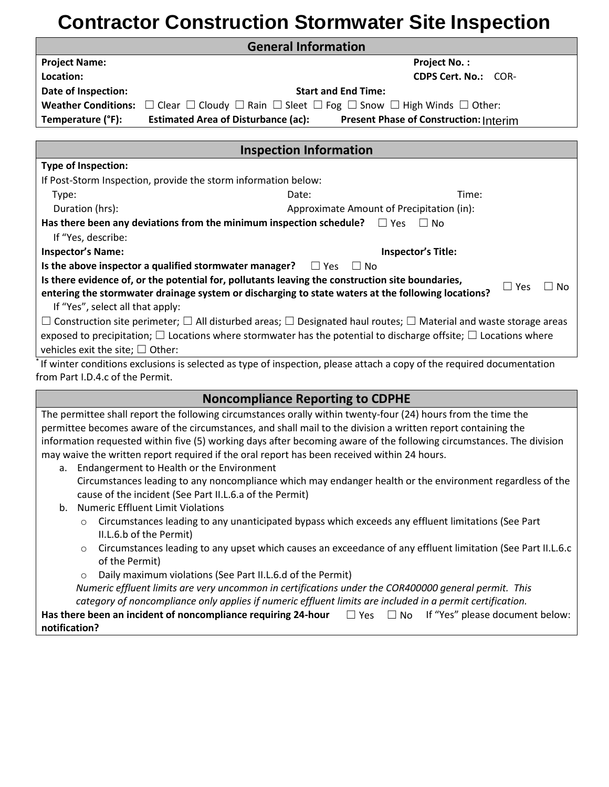## **Contractor Construction Stormwater Site Inspection**

|                                          | <b>General Information</b>                                                                                                             |
|------------------------------------------|----------------------------------------------------------------------------------------------------------------------------------------|
| <b>Project Name:</b>                     | <b>Project No.:</b>                                                                                                                    |
| Location:                                | <b>CDPS Cert. No.: COR-</b>                                                                                                            |
| Date of Inspection:                      | <b>Start and End Time:</b>                                                                                                             |
| <b>Weather Conditions:</b>               | $\Box$ Clear $\Box$ Cloudy $\Box$ Rain $\Box$ Sleet $\Box$ Fog $\Box$ Snow $\Box$ High Winds $\Box$ Other:                             |
| Temperature (°F):                        | <b>Estimated Area of Disturbance (ac):</b><br><b>Present Phase of Construction: Interim</b>                                            |
|                                          |                                                                                                                                        |
|                                          | <b>Inspection Information</b>                                                                                                          |
| <b>Type of Inspection:</b>               |                                                                                                                                        |
|                                          | If Post-Storm Inspection, provide the storm information below:                                                                         |
| Type:                                    | Date:<br>Time:                                                                                                                         |
| Duration (hrs):                          | Approximate Amount of Precipitation (in):                                                                                              |
|                                          | Has there been any deviations from the minimum inspection schedule?<br>$\Box$ Yes<br>$\Box$ No                                         |
| If "Yes, describe:                       |                                                                                                                                        |
| <b>Inspector's Name:</b>                 | <b>Inspector's Title:</b>                                                                                                              |
|                                          | Is the above inspector a qualified stormwater manager?<br>$\Box$ Yes<br>$\Box$ No                                                      |
|                                          | Is there evidence of, or the potential for, pollutants leaving the construction site boundaries,                                       |
|                                          | $\square$ Yes<br>No<br>entering the stormwater drainage system or discharging to state waters at the following locations?              |
| If "Yes", select all that apply:         |                                                                                                                                        |
|                                          | $\Box$ Construction site perimeter; $\Box$ All disturbed areas; $\Box$ Designated haul routes; $\Box$ Material and waste storage areas |
|                                          | exposed to precipitation; $\Box$ Locations where stormwater has the potential to discharge offsite; $\Box$ Locations where             |
| vehicles exit the site; $\square$ Other: |                                                                                                                                        |
|                                          | If winter conditions exclusions is selected as type of inspection, please attach a copy of the required documentation                  |
| from Part I.D.4.c of the Permit.         |                                                                                                                                        |
|                                          | <b>Noncompliance Reporting to CDPHE</b>                                                                                                |
|                                          | The permittee shall report the following circumstances orally within twenty-four (24) hours from the time the                          |
|                                          | permittee becomes aware of the circumstances, and shall mail to the division a written report containing the                           |
|                                          | information requested within five (5) working days after becoming aware of the following circumstances. The division                   |
|                                          | may waive the written report required if the oral report has been received within 24 hours.                                            |
|                                          | a. Endangerment to Health or the Environment                                                                                           |
|                                          | Circumstances leading to any noncompliance which may endanger health or the environment regardless of the                              |
|                                          | cause of the incident (See Part II.L.6.a of the Permit)                                                                                |
| b.                                       | <b>Numeric Effluent Limit Violations</b>                                                                                               |
| $\circ$                                  | Circumstances leading to any unanticipated bypass which exceeds any effluent limitations (See Part                                     |
|                                          | II.L.6.b of the Permit)                                                                                                                |
| $\circ$<br>of the Permit)                | Circumstances leading to any upset which causes an exceedance of any effluent limitation (See Part II.L.6.c                            |
| $\circ$                                  | Daily maximum violations (See Part II.L.6.d of the Permit)                                                                             |
|                                          | Numeric effluent limits are very uncommon in certifications under the COR400000 general permit. This                                   |
|                                          | category of noncompliance only applies if numeric effluent limits are included in a permit certification.                              |
|                                          | Has there been an incident of noncompliance requiring 24-hour<br>$\Box$ Yes $\Box$ No<br>If "Yes" please document below:               |
| notification?                            |                                                                                                                                        |
|                                          |                                                                                                                                        |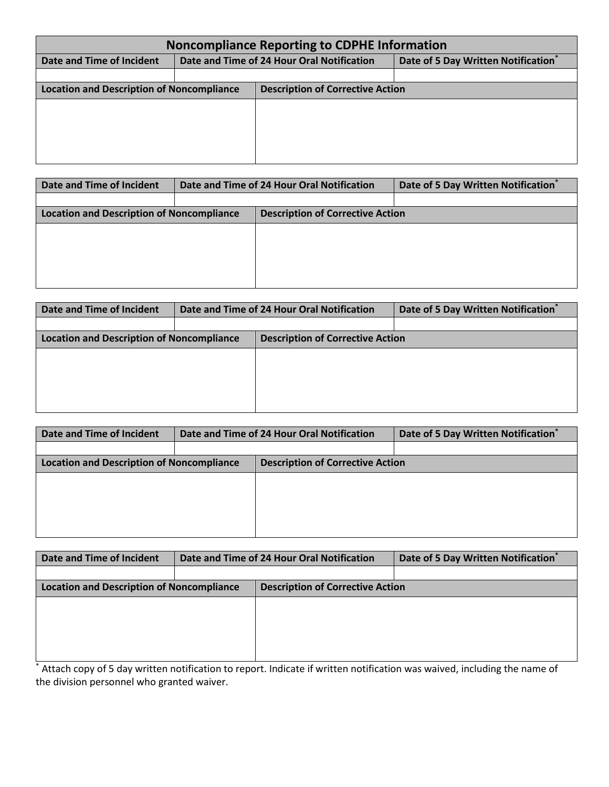| <b>Noncompliance Reporting to CDPHE Information</b> |  |                                            |                                    |  |  |  |  |
|-----------------------------------------------------|--|--------------------------------------------|------------------------------------|--|--|--|--|
| Date and Time of Incident                           |  | Date and Time of 24 Hour Oral Notification | Date of 5 Day Written Notification |  |  |  |  |
|                                                     |  |                                            |                                    |  |  |  |  |
| <b>Location and Description of Noncompliance</b>    |  | <b>Description of Corrective Action</b>    |                                    |  |  |  |  |
|                                                     |  |                                            |                                    |  |  |  |  |
|                                                     |  |                                            |                                    |  |  |  |  |
|                                                     |  |                                            |                                    |  |  |  |  |
|                                                     |  |                                            |                                    |  |  |  |  |
|                                                     |  |                                            |                                    |  |  |  |  |

| Date and Time of Incident                        |  | Date and Time of 24 Hour Oral Notification | Date of 5 Day Written Notification |
|--------------------------------------------------|--|--------------------------------------------|------------------------------------|
|                                                  |  |                                            |                                    |
| <b>Location and Description of Noncompliance</b> |  | <b>Description of Corrective Action</b>    |                                    |
|                                                  |  |                                            |                                    |
|                                                  |  |                                            |                                    |
|                                                  |  |                                            |                                    |
|                                                  |  |                                            |                                    |
|                                                  |  |                                            |                                    |

|                                                  |                                         | Date of 5 Day Written Notification         |
|--------------------------------------------------|-----------------------------------------|--------------------------------------------|
|                                                  |                                         |                                            |
| <b>Location and Description of Noncompliance</b> | <b>Description of Corrective Action</b> |                                            |
|                                                  |                                         |                                            |
|                                                  |                                         |                                            |
|                                                  |                                         |                                            |
|                                                  |                                         |                                            |
|                                                  |                                         | Date and Time of 24 Hour Oral Notification |

| Date and Time of Incident                        | Date and Time of 24 Hour Oral Notification | Date of 5 Day Written Notification |
|--------------------------------------------------|--------------------------------------------|------------------------------------|
|                                                  |                                            |                                    |
| <b>Location and Description of Noncompliance</b> | <b>Description of Corrective Action</b>    |                                    |
|                                                  |                                            |                                    |
|                                                  |                                            |                                    |
|                                                  |                                            |                                    |
|                                                  |                                            |                                    |
|                                                  |                                            |                                    |

|                                                  | Date of 5 Day Written Notification         |
|--------------------------------------------------|--------------------------------------------|
|                                                  |                                            |
| <b>Description of Corrective Action</b>          |                                            |
|                                                  |                                            |
|                                                  |                                            |
|                                                  |                                            |
|                                                  |                                            |
| <b>Location and Description of Noncompliance</b> | Date and Time of 24 Hour Oral Notification |

\* Attach copy of 5 day written notification to report. Indicate if written notification was waived, including the name of the division personnel who granted waiver.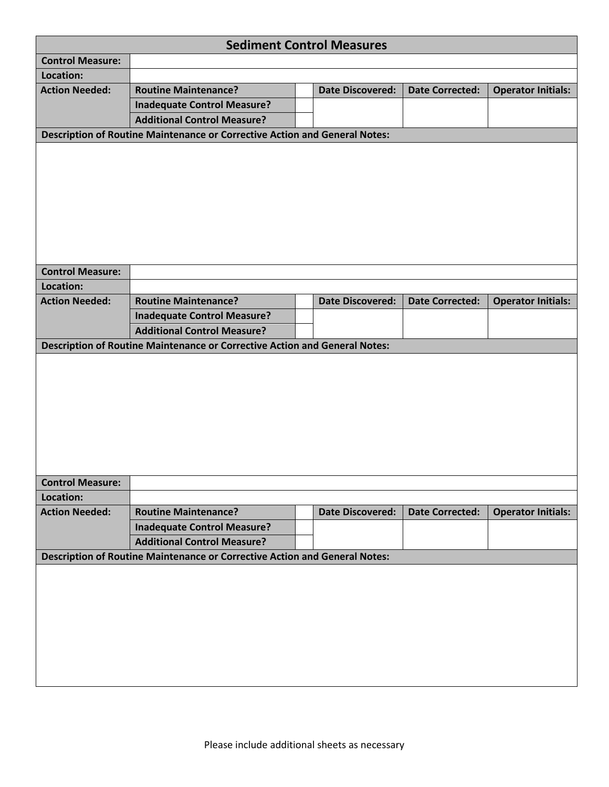|                                                                            |                                                                            |  | <b>Sediment Control Measures</b> |                        |                           |  |
|----------------------------------------------------------------------------|----------------------------------------------------------------------------|--|----------------------------------|------------------------|---------------------------|--|
| <b>Control Measure:</b>                                                    |                                                                            |  |                                  |                        |                           |  |
| Location:                                                                  |                                                                            |  |                                  |                        |                           |  |
| <b>Action Needed:</b>                                                      | <b>Routine Maintenance?</b>                                                |  | <b>Date Discovered:</b>          | <b>Date Corrected:</b> | <b>Operator Initials:</b> |  |
|                                                                            | <b>Inadequate Control Measure?</b>                                         |  |                                  |                        |                           |  |
|                                                                            | <b>Additional Control Measure?</b>                                         |  |                                  |                        |                           |  |
| Description of Routine Maintenance or Corrective Action and General Notes: |                                                                            |  |                                  |                        |                           |  |
|                                                                            |                                                                            |  |                                  |                        |                           |  |
|                                                                            |                                                                            |  |                                  |                        |                           |  |
|                                                                            |                                                                            |  |                                  |                        |                           |  |
| <b>Control Measure:</b>                                                    |                                                                            |  |                                  |                        |                           |  |
| Location:                                                                  |                                                                            |  |                                  |                        |                           |  |
| <b>Action Needed:</b>                                                      | <b>Routine Maintenance?</b>                                                |  | <b>Date Discovered:</b>          | <b>Date Corrected:</b> | <b>Operator Initials:</b> |  |
|                                                                            | <b>Inadequate Control Measure?</b>                                         |  |                                  |                        |                           |  |
|                                                                            | <b>Additional Control Measure?</b>                                         |  |                                  |                        |                           |  |
|                                                                            | Description of Routine Maintenance or Corrective Action and General Notes: |  |                                  |                        |                           |  |
|                                                                            |                                                                            |  |                                  |                        |                           |  |
|                                                                            |                                                                            |  |                                  |                        |                           |  |
|                                                                            |                                                                            |  |                                  |                        |                           |  |
|                                                                            |                                                                            |  |                                  |                        |                           |  |
|                                                                            |                                                                            |  |                                  |                        |                           |  |
|                                                                            |                                                                            |  |                                  |                        |                           |  |
|                                                                            |                                                                            |  |                                  |                        |                           |  |
|                                                                            |                                                                            |  |                                  |                        |                           |  |
| <b>Control Measure:</b>                                                    |                                                                            |  |                                  |                        |                           |  |
| Location:                                                                  |                                                                            |  |                                  |                        |                           |  |
| <b>Action Needed:</b>                                                      | <b>Routine Maintenance?</b>                                                |  | <b>Date Discovered:</b>          | <b>Date Corrected:</b> | <b>Operator Initials:</b> |  |
|                                                                            | <b>Inadequate Control Measure?</b>                                         |  |                                  |                        |                           |  |
|                                                                            | <b>Additional Control Measure?</b>                                         |  |                                  |                        |                           |  |
|                                                                            | Description of Routine Maintenance or Corrective Action and General Notes: |  |                                  |                        |                           |  |
|                                                                            |                                                                            |  |                                  |                        |                           |  |
|                                                                            |                                                                            |  |                                  |                        |                           |  |
|                                                                            |                                                                            |  |                                  |                        |                           |  |
|                                                                            |                                                                            |  |                                  |                        |                           |  |
|                                                                            |                                                                            |  |                                  |                        |                           |  |
|                                                                            |                                                                            |  |                                  |                        |                           |  |
|                                                                            |                                                                            |  |                                  |                        |                           |  |
|                                                                            |                                                                            |  |                                  |                        |                           |  |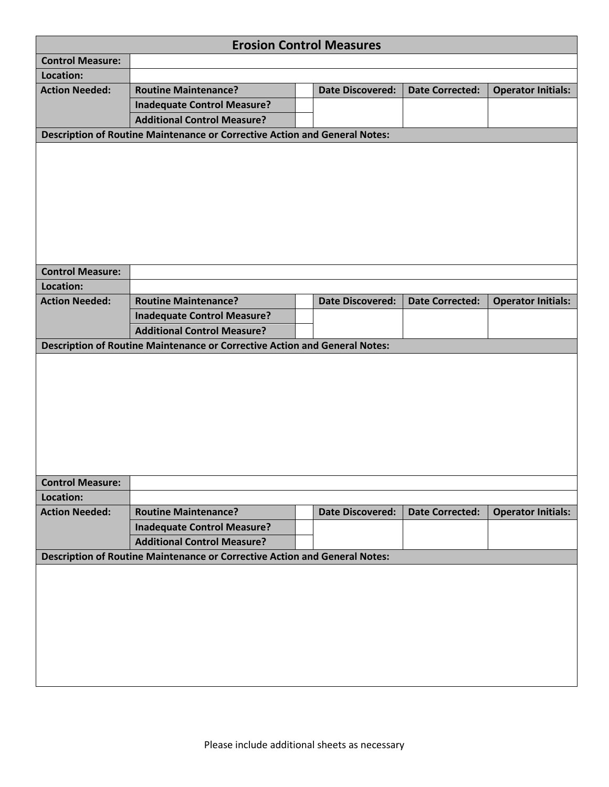|                         |                                                                            |  | <b>Erosion Control Measures</b> |                        |                           |  |  |
|-------------------------|----------------------------------------------------------------------------|--|---------------------------------|------------------------|---------------------------|--|--|
| <b>Control Measure:</b> |                                                                            |  |                                 |                        |                           |  |  |
| Location:               |                                                                            |  |                                 |                        |                           |  |  |
| <b>Action Needed:</b>   | <b>Routine Maintenance?</b>                                                |  | <b>Date Discovered:</b>         | <b>Date Corrected:</b> | <b>Operator Initials:</b> |  |  |
|                         | <b>Inadequate Control Measure?</b>                                         |  |                                 |                        |                           |  |  |
|                         | <b>Additional Control Measure?</b>                                         |  |                                 |                        |                           |  |  |
|                         | Description of Routine Maintenance or Corrective Action and General Notes: |  |                                 |                        |                           |  |  |
|                         |                                                                            |  |                                 |                        |                           |  |  |
|                         |                                                                            |  |                                 |                        |                           |  |  |
|                         |                                                                            |  |                                 |                        |                           |  |  |
|                         |                                                                            |  |                                 |                        |                           |  |  |
|                         |                                                                            |  |                                 |                        |                           |  |  |
|                         |                                                                            |  |                                 |                        |                           |  |  |
|                         |                                                                            |  |                                 |                        |                           |  |  |
|                         |                                                                            |  |                                 |                        |                           |  |  |
| <b>Control Measure:</b> |                                                                            |  |                                 |                        |                           |  |  |
| Location:               |                                                                            |  |                                 |                        |                           |  |  |
| <b>Action Needed:</b>   | <b>Routine Maintenance?</b>                                                |  | <b>Date Discovered:</b>         | <b>Date Corrected:</b> | <b>Operator Initials:</b> |  |  |
|                         | <b>Inadequate Control Measure?</b>                                         |  |                                 |                        |                           |  |  |
|                         | <b>Additional Control Measure?</b>                                         |  |                                 |                        |                           |  |  |
|                         | Description of Routine Maintenance or Corrective Action and General Notes: |  |                                 |                        |                           |  |  |
|                         |                                                                            |  |                                 |                        |                           |  |  |
|                         |                                                                            |  |                                 |                        |                           |  |  |
|                         |                                                                            |  |                                 |                        |                           |  |  |
|                         |                                                                            |  |                                 |                        |                           |  |  |
|                         |                                                                            |  |                                 |                        |                           |  |  |
|                         |                                                                            |  |                                 |                        |                           |  |  |
|                         |                                                                            |  |                                 |                        |                           |  |  |
|                         |                                                                            |  |                                 |                        |                           |  |  |
| <b>Control Measure:</b> |                                                                            |  |                                 |                        |                           |  |  |
| Location:               |                                                                            |  |                                 |                        |                           |  |  |
| <b>Action Needed:</b>   | <b>Routine Maintenance?</b>                                                |  | <b>Date Discovered:</b>         | <b>Date Corrected:</b> | <b>Operator Initials:</b> |  |  |
|                         | <b>Inadequate Control Measure?</b>                                         |  |                                 |                        |                           |  |  |
|                         | <b>Additional Control Measure?</b>                                         |  |                                 |                        |                           |  |  |
|                         | Description of Routine Maintenance or Corrective Action and General Notes: |  |                                 |                        |                           |  |  |
|                         |                                                                            |  |                                 |                        |                           |  |  |
|                         |                                                                            |  |                                 |                        |                           |  |  |
|                         |                                                                            |  |                                 |                        |                           |  |  |
|                         |                                                                            |  |                                 |                        |                           |  |  |
|                         |                                                                            |  |                                 |                        |                           |  |  |
|                         |                                                                            |  |                                 |                        |                           |  |  |
|                         |                                                                            |  |                                 |                        |                           |  |  |
|                         |                                                                            |  |                                 |                        |                           |  |  |
|                         |                                                                            |  |                                 |                        |                           |  |  |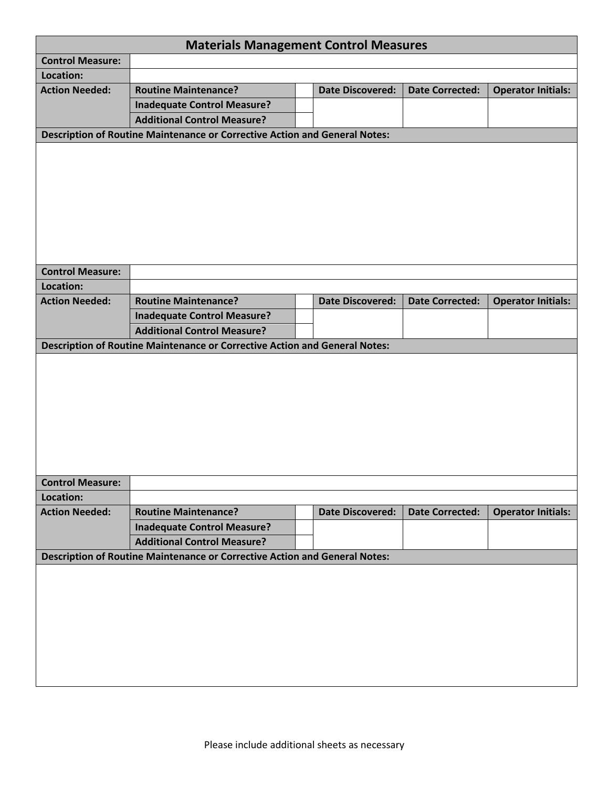|                         | <b>Materials Management Control Measures</b>                                      |                         |                        |                           |
|-------------------------|-----------------------------------------------------------------------------------|-------------------------|------------------------|---------------------------|
| <b>Control Measure:</b> |                                                                                   |                         |                        |                           |
| Location:               |                                                                                   |                         |                        |                           |
| <b>Action Needed:</b>   | <b>Routine Maintenance?</b>                                                       | <b>Date Discovered:</b> | <b>Date Corrected:</b> | <b>Operator Initials:</b> |
|                         | <b>Inadequate Control Measure?</b>                                                |                         |                        |                           |
|                         | <b>Additional Control Measure?</b>                                                |                         |                        |                           |
|                         | Description of Routine Maintenance or Corrective Action and General Notes:        |                         |                        |                           |
|                         |                                                                                   |                         |                        |                           |
|                         |                                                                                   |                         |                        |                           |
|                         |                                                                                   |                         |                        |                           |
|                         |                                                                                   |                         |                        |                           |
|                         |                                                                                   |                         |                        |                           |
|                         |                                                                                   |                         |                        |                           |
|                         |                                                                                   |                         |                        |                           |
|                         |                                                                                   |                         |                        |                           |
| <b>Control Measure:</b> |                                                                                   |                         |                        |                           |
| Location:               |                                                                                   |                         |                        |                           |
| <b>Action Needed:</b>   | <b>Routine Maintenance?</b>                                                       | <b>Date Discovered:</b> | <b>Date Corrected:</b> | <b>Operator Initials:</b> |
|                         | <b>Inadequate Control Measure?</b>                                                |                         |                        |                           |
|                         | <b>Additional Control Measure?</b>                                                |                         |                        |                           |
|                         | Description of Routine Maintenance or Corrective Action and General Notes:        |                         |                        |                           |
|                         |                                                                                   |                         |                        |                           |
|                         |                                                                                   |                         |                        |                           |
|                         |                                                                                   |                         |                        |                           |
|                         |                                                                                   |                         |                        |                           |
|                         |                                                                                   |                         |                        |                           |
|                         |                                                                                   |                         |                        |                           |
|                         |                                                                                   |                         |                        |                           |
|                         |                                                                                   |                         |                        |                           |
|                         |                                                                                   |                         |                        |                           |
| <b>Control Measure:</b> |                                                                                   |                         |                        |                           |
| Location:               |                                                                                   |                         |                        |                           |
| <b>Action Needed:</b>   | <b>Routine Maintenance?</b>                                                       | <b>Date Discovered:</b> | <b>Date Corrected:</b> | <b>Operator Initials:</b> |
|                         | <b>Inadequate Control Measure?</b>                                                |                         |                        |                           |
|                         | <b>Additional Control Measure?</b>                                                |                         |                        |                           |
|                         | <b>Description of Routine Maintenance or Corrective Action and General Notes:</b> |                         |                        |                           |
|                         |                                                                                   |                         |                        |                           |
|                         |                                                                                   |                         |                        |                           |
|                         |                                                                                   |                         |                        |                           |
|                         |                                                                                   |                         |                        |                           |
|                         |                                                                                   |                         |                        |                           |
|                         |                                                                                   |                         |                        |                           |
|                         |                                                                                   |                         |                        |                           |
|                         |                                                                                   |                         |                        |                           |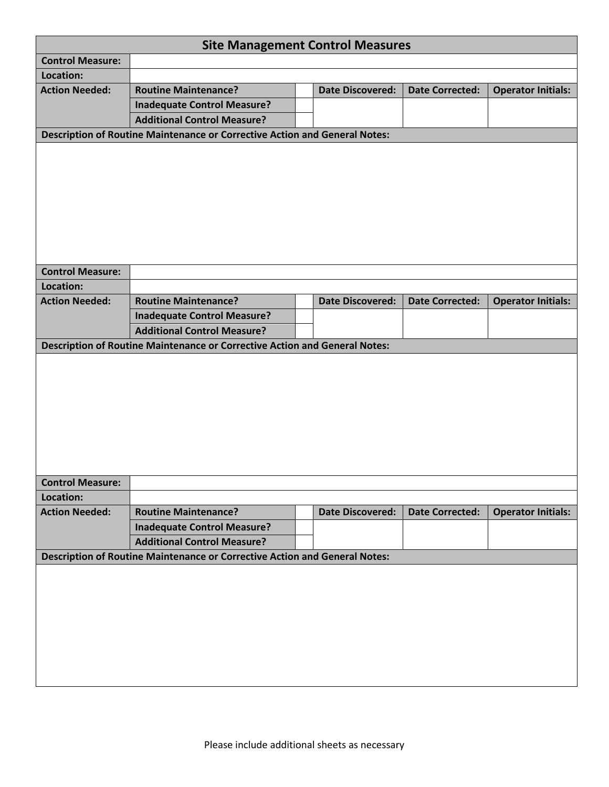| <b>Site Management Control Measures</b>                                    |                                                                                   |  |                         |                        |                           |  |  |
|----------------------------------------------------------------------------|-----------------------------------------------------------------------------------|--|-------------------------|------------------------|---------------------------|--|--|
| <b>Control Measure:</b>                                                    |                                                                                   |  |                         |                        |                           |  |  |
| Location:                                                                  |                                                                                   |  |                         |                        |                           |  |  |
| <b>Action Needed:</b>                                                      | <b>Routine Maintenance?</b>                                                       |  | <b>Date Discovered:</b> | <b>Date Corrected:</b> | <b>Operator Initials:</b> |  |  |
|                                                                            | <b>Inadequate Control Measure?</b>                                                |  |                         |                        |                           |  |  |
|                                                                            | <b>Additional Control Measure?</b>                                                |  |                         |                        |                           |  |  |
| Description of Routine Maintenance or Corrective Action and General Notes: |                                                                                   |  |                         |                        |                           |  |  |
|                                                                            |                                                                                   |  |                         |                        |                           |  |  |
|                                                                            |                                                                                   |  |                         |                        |                           |  |  |
|                                                                            |                                                                                   |  |                         |                        |                           |  |  |
|                                                                            |                                                                                   |  |                         |                        |                           |  |  |
|                                                                            |                                                                                   |  |                         |                        |                           |  |  |
|                                                                            |                                                                                   |  |                         |                        |                           |  |  |
|                                                                            |                                                                                   |  |                         |                        |                           |  |  |
|                                                                            |                                                                                   |  |                         |                        |                           |  |  |
| <b>Control Measure:</b>                                                    |                                                                                   |  |                         |                        |                           |  |  |
| Location:                                                                  |                                                                                   |  |                         |                        |                           |  |  |
| <b>Action Needed:</b>                                                      | <b>Routine Maintenance?</b>                                                       |  | <b>Date Discovered:</b> | <b>Date Corrected:</b> | <b>Operator Initials:</b> |  |  |
|                                                                            | <b>Inadequate Control Measure?</b>                                                |  |                         |                        |                           |  |  |
|                                                                            | <b>Additional Control Measure?</b>                                                |  |                         |                        |                           |  |  |
|                                                                            | Description of Routine Maintenance or Corrective Action and General Notes:        |  |                         |                        |                           |  |  |
|                                                                            |                                                                                   |  |                         |                        |                           |  |  |
|                                                                            |                                                                                   |  |                         |                        |                           |  |  |
|                                                                            |                                                                                   |  |                         |                        |                           |  |  |
|                                                                            |                                                                                   |  |                         |                        |                           |  |  |
|                                                                            |                                                                                   |  |                         |                        |                           |  |  |
|                                                                            |                                                                                   |  |                         |                        |                           |  |  |
|                                                                            |                                                                                   |  |                         |                        |                           |  |  |
|                                                                            |                                                                                   |  |                         |                        |                           |  |  |
| <b>Control Measure:</b>                                                    |                                                                                   |  |                         |                        |                           |  |  |
| Location:                                                                  |                                                                                   |  |                         |                        |                           |  |  |
| <b>Action Needed:</b>                                                      | <b>Routine Maintenance?</b>                                                       |  | <b>Date Discovered:</b> | <b>Date Corrected:</b> | <b>Operator Initials:</b> |  |  |
|                                                                            | <b>Inadequate Control Measure?</b>                                                |  |                         |                        |                           |  |  |
|                                                                            | <b>Additional Control Measure?</b>                                                |  |                         |                        |                           |  |  |
|                                                                            | <b>Description of Routine Maintenance or Corrective Action and General Notes:</b> |  |                         |                        |                           |  |  |
|                                                                            |                                                                                   |  |                         |                        |                           |  |  |
|                                                                            |                                                                                   |  |                         |                        |                           |  |  |
|                                                                            |                                                                                   |  |                         |                        |                           |  |  |
|                                                                            |                                                                                   |  |                         |                        |                           |  |  |
|                                                                            |                                                                                   |  |                         |                        |                           |  |  |
|                                                                            |                                                                                   |  |                         |                        |                           |  |  |
|                                                                            |                                                                                   |  |                         |                        |                           |  |  |
|                                                                            |                                                                                   |  |                         |                        |                           |  |  |
|                                                                            |                                                                                   |  |                         |                        |                           |  |  |